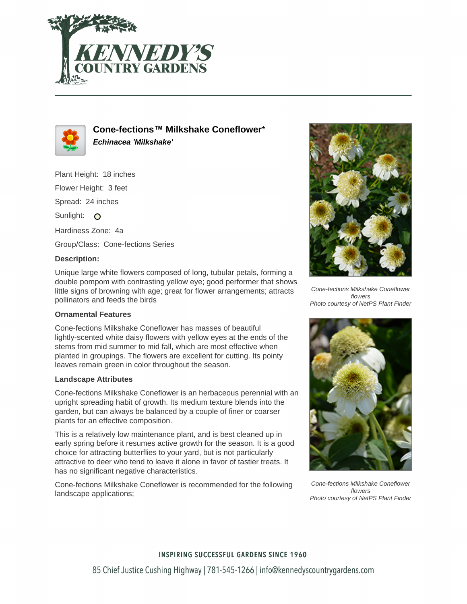



**Cone-fections™ Milkshake Coneflower**\* **Echinacea 'Milkshake'**

Plant Height: 18 inches Flower Height: 3 feet Spread: 24 inches

Sunlight: O

Hardiness Zone: 4a

Group/Class: Cone-fections Series

### **Description:**

Unique large white flowers composed of long, tubular petals, forming a double pompom with contrasting yellow eye; good performer that shows little signs of browning with age; great for flower arrangements; attracts pollinators and feeds the birds

### **Ornamental Features**

Cone-fections Milkshake Coneflower has masses of beautiful lightly-scented white daisy flowers with yellow eyes at the ends of the stems from mid summer to mid fall, which are most effective when planted in groupings. The flowers are excellent for cutting. Its pointy leaves remain green in color throughout the season.

### **Landscape Attributes**

Cone-fections Milkshake Coneflower is an herbaceous perennial with an upright spreading habit of growth. Its medium texture blends into the garden, but can always be balanced by a couple of finer or coarser plants for an effective composition.

This is a relatively low maintenance plant, and is best cleaned up in early spring before it resumes active growth for the season. It is a good choice for attracting butterflies to your yard, but is not particularly attractive to deer who tend to leave it alone in favor of tastier treats. It has no significant negative characteristics.

Cone-fections Milkshake Coneflower is recommended for the following landscape applications;



Cone-fections Milkshake Coneflower flowers Photo courtesy of NetPS Plant Finder



Cone-fections Milkshake Coneflower flowers Photo courtesy of NetPS Plant Finder

# **INSPIRING SUCCESSFUL GARDENS SINCE 1960** 85 Chief Justice Cushing Highway | 781-545-1266 | info@kennedyscountrygardens.com